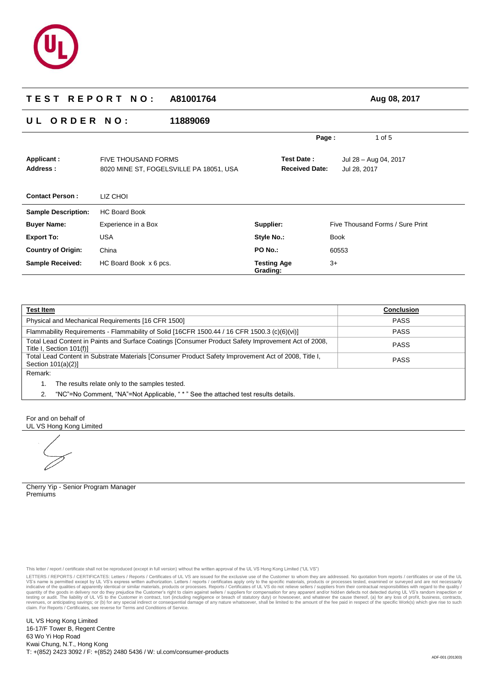

# **T E S T R E P O R T N O : A81001764 Aug 08, 2017 U L O R D E R N O : 11889069 Page :** 1 of 5 **Applicant :** FIVE THOUSAND FORMS **Test Date :** Jul 28 – Aug 04, 2017 **Address :** 8020 MINE ST, FOGELSVILLE PA 18051, USA **Received Date:** Jul 28, 2017 **Contact Person :** LIZ CHOI **Sample Description:** HC Board Book **Buyer Name:** Experience in a Box **Export To:** USA **Country of Origin:** China **Sample Received:** HC Board Book x 6 pcs. **Supplier:** Five Thousand Forms / Sure Print Style No.: Book **PO No.:** 60553 **Testing Age Grading:**  $3+$

| Test Item                                                                                                                                      | <b>Conclusion</b> |  |
|------------------------------------------------------------------------------------------------------------------------------------------------|-------------------|--|
| Physical and Mechanical Requirements [16 CFR 1500]                                                                                             | <b>PASS</b>       |  |
| Flammability Requirements - Flammability of Solid [16CFR 1500.44 / 16 CFR 1500.3 (c)(6)(vi)]                                                   | <b>PASS</b>       |  |
| Total Lead Content in Paints and Surface Coatings [Consumer Product Safety Improvement Act of 2008,<br><b>PASS</b><br>Title I, Section 101(f)] |                   |  |
| Total Lead Content in Substrate Materials [Consumer Product Safety Improvement Act of 2008, Title I,<br>Section $101(a)(2)$ ]                  | <b>PASS</b>       |  |
| Remark:                                                                                                                                        |                   |  |
| The results relate only to the samples tested.                                                                                                 |                   |  |
| "NC"=No Comment, "NA"=Not Applicable, " * " See the attached test results details.                                                             |                   |  |

For and on behalf of UL VS Hong Kong Limited

Cherry Yip - Senior Program Manager Premiums

This letter / report / certificate shall not be reproduced (except in full version) without the written approval of the UL VS Hong Kong Limited ("UL VS")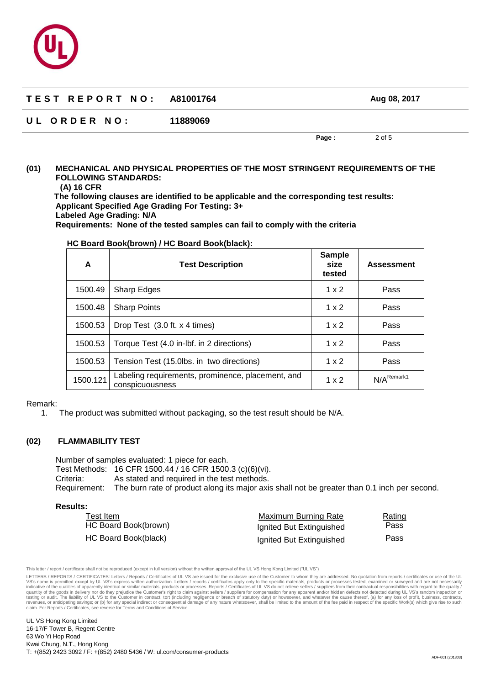

| TEST REPORT NO: A81001764 |          |       | Aug 08, 2017 |
|---------------------------|----------|-------|--------------|
| UL ORDER NO:              | 11889069 |       |              |
|                           |          | Page: | 2 of 5       |

## **(01) MECHANICAL AND PHYSICAL PROPERTIES OF THE MOST STRINGENT REQUIREMENTS OF THE FOLLOWING STANDARDS:**

**(A) 16 CFR**

**The following clauses are identified to be applicable and the corresponding test results: Applicant Specified Age Grading For Testing: 3+ Labeled Age Grading: N/A**

**Requirements: None of the tested samples can fail to comply with the criteria** 

| A        | <b>Test Description</b>                                              | <b>Sample</b><br>size<br>tested | <b>Assessment</b>        |
|----------|----------------------------------------------------------------------|---------------------------------|--------------------------|
| 1500.49  | <b>Sharp Edges</b>                                                   | $1 \times 2$                    | Pass                     |
| 1500.48  | <b>Sharp Points</b>                                                  | $1 \times 2$                    | Pass                     |
| 1500.53  | Drop Test (3.0 ft. x 4 times)                                        | $1 \times 2$                    | Pass                     |
| 1500.53  | Torque Test (4.0 in-lbf. in 2 directions)                            | $1 \times 2$                    | Pass                     |
| 1500.53  | Tension Test (15.0lbs. in two directions)                            | $1 \times 2$                    | Pass                     |
| 1500.121 | Labeling requirements, prominence, placement, and<br>conspicuousness | $1 \times 2$                    | $N/A$ <sup>Remark1</sup> |

## **HC Board Book(brown) / HC Board Book(black):**

Remark:

1. The product was submitted without packaging, so the test result should be N/A.

## **(02) FLAMMABILITY TEST**

Number of samples evaluated: 1 piece for each. Test Methods: 16 CFR 1500.44 / 16 CFR 1500.3 (c)(6)(vi). Criteria: As stated and required in the test methods. Requirement: The burn rate of product along its major axis shall not be greater than 0.1 inch per second.

**Results:**

| Test Item            | Maximum Burning Rate     | Rating |
|----------------------|--------------------------|--------|
| HC Board Book(brown) | Ignited But Extinguished | Pass   |
| HC Board Book(black) | Ignited But Extinguished | Pass   |

This letter / report / certificate shall not be reproduced (except in full version) without the written approval of the UL VS Hong Kong Limited ("UL VS")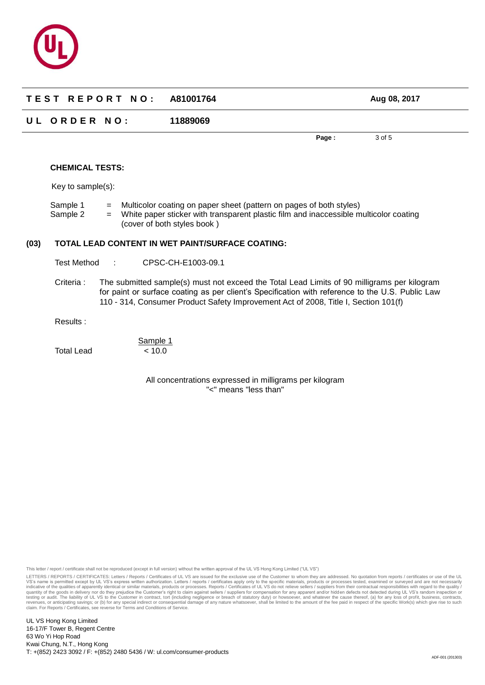

| TEST REPORT NO: A81001764 |          | Aug 08, 2017 |        |  |
|---------------------------|----------|--------------|--------|--|
| UL ORDER NO:              | 11889069 |              |        |  |
|                           |          | Page:        | 3 of 5 |  |
| <b>CHEMICAL TESTS:</b>    |          |              |        |  |

Key to sample(s):

Sample 1 = Multicolor coating on paper sheet (pattern on pages of both styles) Sample 2 = White paper sticker with transparent plastic film and inaccessible multicolor coating (cover of both styles book )

## **(03) TOTAL LEAD CONTENT IN WET PAINT/SURFACE COATING:**

Test Method : CPSC-CH-E1003-09.1

Criteria : The submitted sample(s) must not exceed the Total Lead Limits of 90 milligrams per kilogram for paint or surface coating as per client's Specification with reference to the U.S. Public Law 110 - 314, Consumer Product Safety Improvement Act of 2008, Title I, Section 101(f)

Results :

Total Lead < 10.0

Sample 1

All concentrations expressed in milligrams per kilogram "<" means "less than"

This letter / report / certificate shall not be reproduced (except in full version) without the written approval of the UL VS Hong Kong Limited ("UL VS")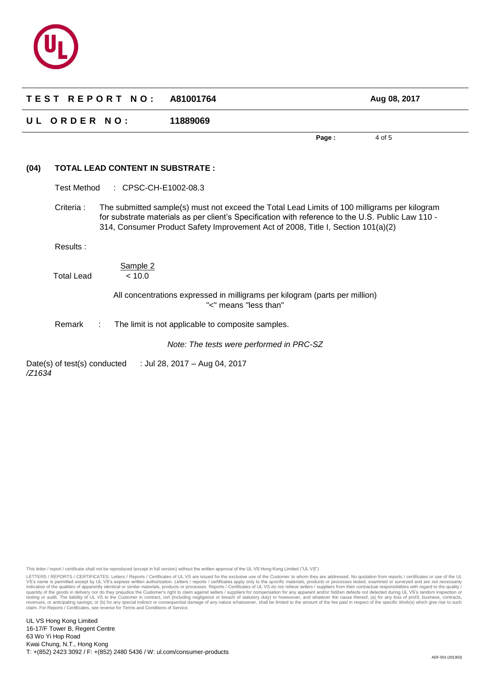

|        |                              | TEST REPORT NO:                         | A81001764                                         |                                                                                                                                                                                                                                                                                       | Aug 08, 2017 |
|--------|------------------------------|-----------------------------------------|---------------------------------------------------|---------------------------------------------------------------------------------------------------------------------------------------------------------------------------------------------------------------------------------------------------------------------------------------|--------------|
|        | UL ORDER NO:                 |                                         | 11889069                                          |                                                                                                                                                                                                                                                                                       |              |
|        |                              |                                         |                                                   | Page:                                                                                                                                                                                                                                                                                 | 4 of 5       |
| (04)   |                              | <b>TOTAL LEAD CONTENT IN SUBSTRATE:</b> |                                                   |                                                                                                                                                                                                                                                                                       |              |
|        | <b>Test Method</b>           | : CPSC-CH-E1002-08.3                    |                                                   |                                                                                                                                                                                                                                                                                       |              |
|        | Criteria :                   |                                         |                                                   | The submitted sample(s) must not exceed the Total Lead Limits of 100 milligrams per kilogram<br>for substrate materials as per client's Specification with reference to the U.S. Public Law 110 -<br>314, Consumer Product Safety Improvement Act of 2008, Title I, Section 101(a)(2) |              |
|        | Results:                     |                                         |                                                   |                                                                                                                                                                                                                                                                                       |              |
|        | <b>Total Lead</b>            | Sample 2<br>< 10.0                      |                                                   |                                                                                                                                                                                                                                                                                       |              |
|        |                              |                                         | "<" means "less than"                             | All concentrations expressed in milligrams per kilogram (parts per million)                                                                                                                                                                                                           |              |
|        | Remark                       | ÷                                       | The limit is not applicable to composite samples. |                                                                                                                                                                                                                                                                                       |              |
|        |                              |                                         | Note: The tests were performed in PRC-SZ          |                                                                                                                                                                                                                                                                                       |              |
| /Z1634 | Date(s) of test(s) conducted |                                         | : Jul 28, 2017 - Aug 04, 2017                     |                                                                                                                                                                                                                                                                                       |              |

This letter / report / certificate shall not be reproduced (except in full version) without the written approval of the UL VS Hong Kong Limited ("UL VS")

LETTERS / REPORTS / CERTIFICATES: Letters / Reports / Certificates of UL VS are issued for the exclusive use of the Customer to whom they are addressed. No quotation from reports / certificates or use of the UL<br>VS's name i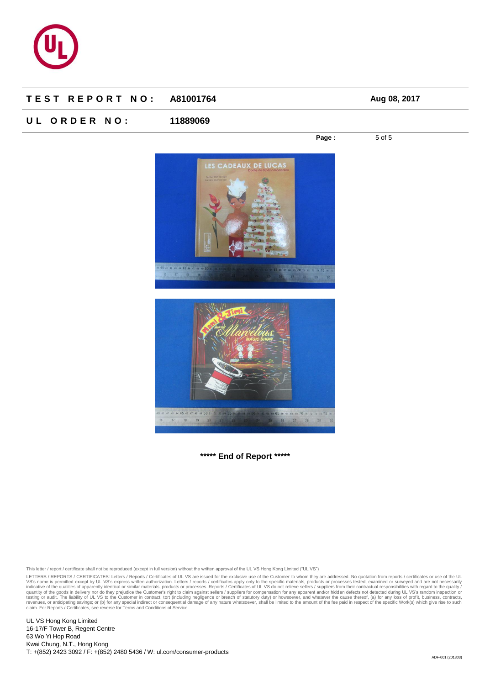

# **T E S T R E P O R T N O : A81001764 Aug 08, 2017**

# **U L O R D E R N O : 11889069**

**Page :** 5 of 5



0 41 42 43 44 45 46 47 48 49 50 51 52 53 67 68 69 70 71 72 73 74 75 18

**\*\*\*\*\* End of Report \*\*\*\*\***

This letter / report / certificate shall not be reproduced (except in full version) without the written approval of the UL VS Hong Kong Limited ("UL VS")